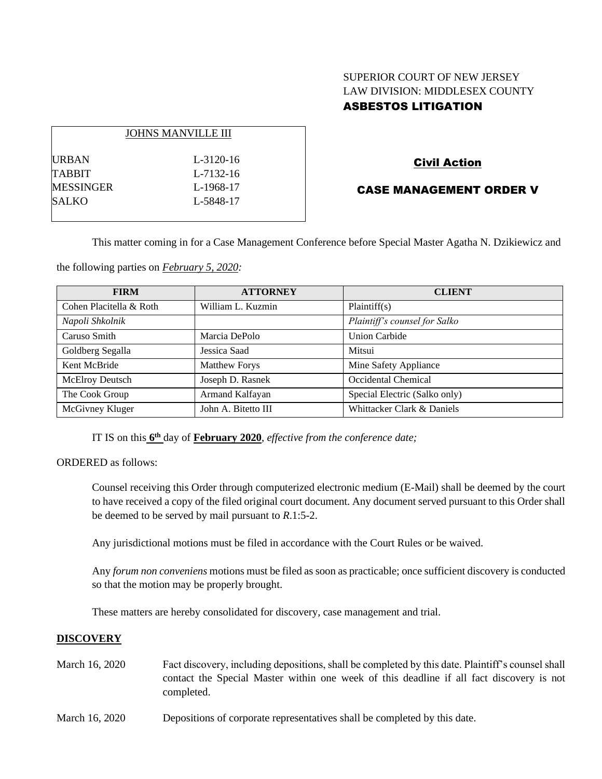# SUPERIOR COURT OF NEW JERSEY LAW DIVISION: MIDDLESEX COUNTY ASBESTOS LITIGATION

|           | <b>JOHNS MANVILLE III</b> |
|-----------|---------------------------|
| URBAN     | L-3120-16                 |
| TABBIT    | L-7132-16                 |
| MESSINGER | L-1968-17                 |
| SALKO     | L-5848-17                 |
|           |                           |

## Civil Action

### CASE MANAGEMENT ORDER V

This matter coming in for a Case Management Conference before Special Master Agatha N. Dzikiewicz and

the following parties on *February 5, 2020:*

| <b>FIRM</b>             | <b>ATTORNEY</b>      | <b>CLIENT</b>                 |
|-------------------------|----------------------|-------------------------------|
| Cohen Placitella & Roth | William L. Kuzmin    | Plaintiff(s)                  |
| Napoli Shkolnik         |                      | Plaintiff's counsel for Salko |
| Caruso Smith            | Marcia DePolo        | <b>Union Carbide</b>          |
| Goldberg Segalla        | Jessica Saad         | Mitsui                        |
| Kent McBride            | <b>Matthew Forys</b> | Mine Safety Appliance         |
| McElroy Deutsch         | Joseph D. Rasnek     | Occidental Chemical           |
| The Cook Group          | Armand Kalfayan      | Special Electric (Salko only) |
| McGivney Kluger         | John A. Bitetto III  | Whittacker Clark & Daniels    |

IT IS on this **6 th** day of **February 2020**, *effective from the conference date;*

ORDERED as follows:

Counsel receiving this Order through computerized electronic medium (E-Mail) shall be deemed by the court to have received a copy of the filed original court document. Any document served pursuant to this Order shall be deemed to be served by mail pursuant to *R*.1:5-2.

Any jurisdictional motions must be filed in accordance with the Court Rules or be waived.

Any *forum non conveniens* motions must be filed as soon as practicable; once sufficient discovery is conducted so that the motion may be properly brought.

These matters are hereby consolidated for discovery, case management and trial.

#### **DISCOVERY**

- March 16, 2020 Fact discovery, including depositions, shall be completed by this date. Plaintiff's counsel shall contact the Special Master within one week of this deadline if all fact discovery is not completed.
- March 16, 2020 Depositions of corporate representatives shall be completed by this date.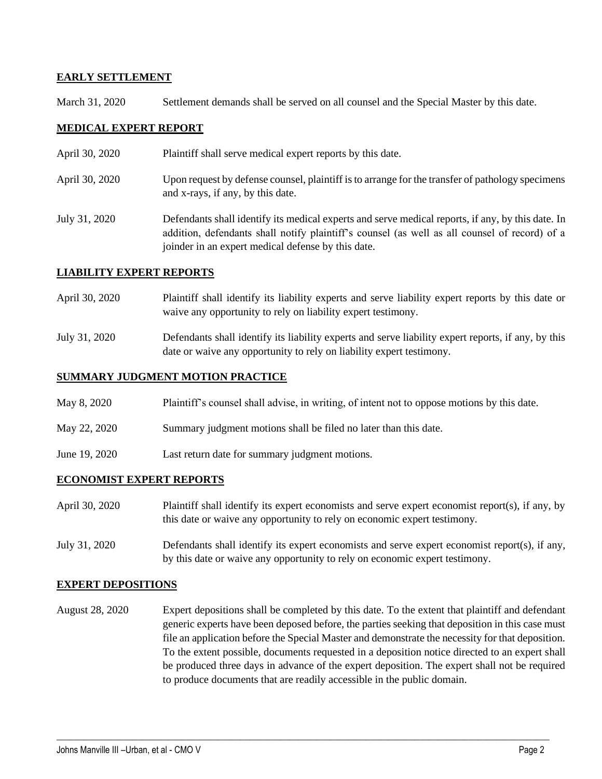### **EARLY SETTLEMENT**

March 31, 2020 Settlement demands shall be served on all counsel and the Special Master by this date.

### **MEDICAL EXPERT REPORT**

- April 30, 2020 Plaintiff shall serve medical expert reports by this date.
- April 30, 2020 Upon request by defense counsel, plaintiff is to arrange for the transfer of pathology specimens and x-rays, if any, by this date.
- July 31, 2020 Defendants shall identify its medical experts and serve medical reports, if any, by this date. In addition, defendants shall notify plaintiff's counsel (as well as all counsel of record) of a joinder in an expert medical defense by this date.

#### **LIABILITY EXPERT REPORTS**

- April 30, 2020 Plaintiff shall identify its liability experts and serve liability expert reports by this date or waive any opportunity to rely on liability expert testimony.
- July 31, 2020 Defendants shall identify its liability experts and serve liability expert reports, if any, by this date or waive any opportunity to rely on liability expert testimony.

#### **SUMMARY JUDGMENT MOTION PRACTICE**

- May 8, 2020 Plaintiff's counsel shall advise, in writing, of intent not to oppose motions by this date.
- May 22, 2020 Summary judgment motions shall be filed no later than this date.
- June 19, 2020 Last return date for summary judgment motions.

#### **ECONOMIST EXPERT REPORTS**

- April 30, 2020 Plaintiff shall identify its expert economists and serve expert economist report(s), if any, by this date or waive any opportunity to rely on economic expert testimony.
- July 31, 2020 Defendants shall identify its expert economists and serve expert economist report(s), if any, by this date or waive any opportunity to rely on economic expert testimony.

#### **EXPERT DEPOSITIONS**

August 28, 2020 Expert depositions shall be completed by this date. To the extent that plaintiff and defendant generic experts have been deposed before, the parties seeking that deposition in this case must file an application before the Special Master and demonstrate the necessity for that deposition. To the extent possible, documents requested in a deposition notice directed to an expert shall be produced three days in advance of the expert deposition. The expert shall not be required to produce documents that are readily accessible in the public domain.

 $\_$  , and the set of the set of the set of the set of the set of the set of the set of the set of the set of the set of the set of the set of the set of the set of the set of the set of the set of the set of the set of th